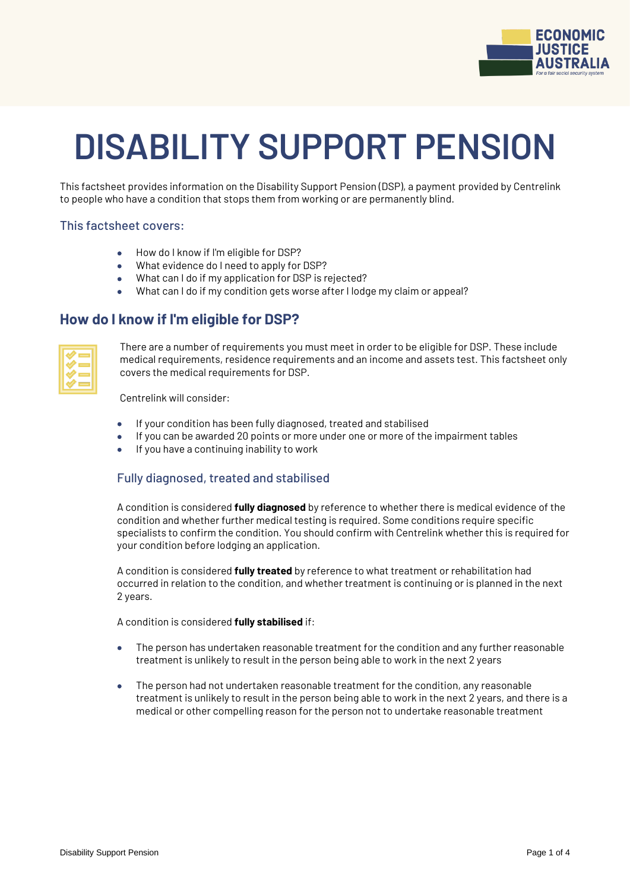

# **DISABILITY SUPPORT PENSION**

This factsheet provides information on the Disability Support Pension (DSP), a payment provided by Centrelink to people who have a condition that stops them from working or are permanently blind.

#### This factsheet covers:

- How do I know if I'm eligible for DSP?
- What evidence do I need to apply for DSP?
- What can I do if my application for DSP is rejected?
- What can I do if my condition gets worse after I lodge my claim or appeal?

## **How do I know if I'm eligible for DSP?**

| __ |
|----|
| __ |
| _  |
| __ |

There are a number of requirements you must meet in order to be eligible for DSP. These include medical requirements, residence requirements and an income and assets test. This factsheet only covers the medical requirements for DSP.

Centrelink will consider:

- If your condition has been fully diagnosed, treated and stabilised
- If you can be awarded 20 points or more under one or more of the impairment tables
- If you have a continuing inability to work

## Fully diagnosed, treated and stabilised

A condition is considered **fully diagnosed** by reference to whether there is medical evidence of the condition and whether further medical testing is required. Some conditions require specific specialists to confirm the condition. You should confirm with Centrelink whether this is required for your condition before lodging an application.

A condition is considered **fully treated** by reference to what treatment or rehabilitation had occurred in relation to the condition, and whether treatment is continuing or is planned in the next 2 years.

A condition is considered **fully stabilised** if:

- The person has undertaken reasonable treatment for the condition and any further reasonable treatment is unlikely to result in the person being able to work in the next 2 years
- The person had not undertaken reasonable treatment for the condition, any reasonable treatment is unlikely to result in the person being able to work in the next 2 years, and there is a medical or other compelling reason for the person not to undertake reasonable treatment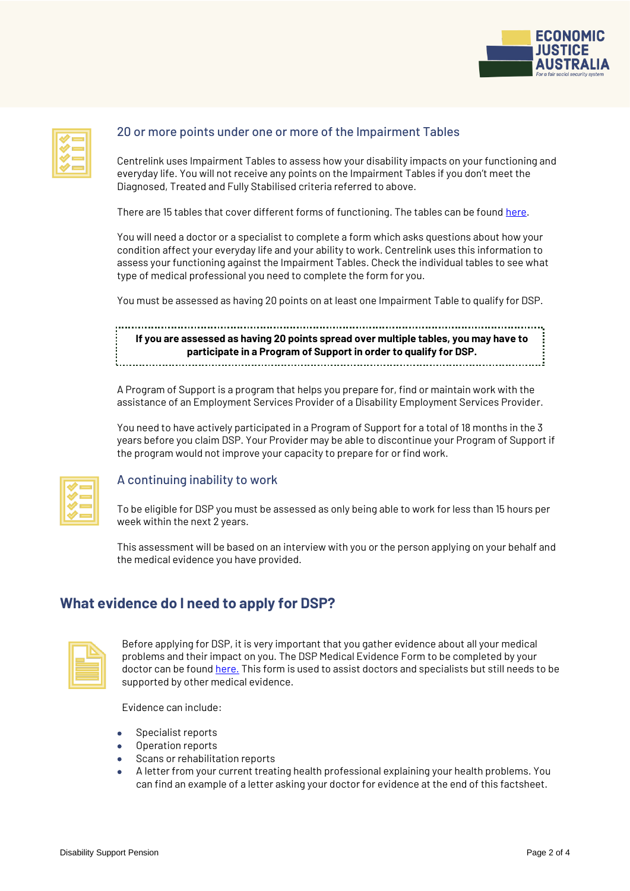

| _  |
|----|
| __ |
| _  |
| __ |
|    |

## 20 or more points under one or more of the Impairment Tables

Centrelink uses Impairment Tables to assess how your disability impacts on your functioning and everyday life. You will not receive any points on the Impairment Tables if you don't meet the Diagnosed, Treated and Fully Stabilised criteria referred to above.

There are 15 tables that cover different forms of functioning. The tables can be found [here.](https://www.legislation.gov.au/Details/F2011L02716)

You will need a doctor or a specialist to complete a form which asks questions about how your condition affect your everyday life and your ability to work. Centrelink uses this information to assess your functioning against the Impairment Tables. Check the individual tables to see what type of medical professional you need to complete the form for you.

You must be assessed as having 20 points on at least one Impairment Table to qualify for DSP.

**If you are assessed as having 20 points spread over multiple tables, you may have to participate in a Program of Support in order to qualify for DSP.**

A Program of Support is a program that helps you prepare for, find or maintain work with the assistance of an Employment Services Provider of a Disability Employment Services Provider.

You need to have actively participated in a Program of Support for a total of 18 months in the 3 years before you claim DSP. Your Provider may be able to discontinue your Program of Support if the program would not improve your capacity to prepare for or find work.

| __ |  |
|----|--|
| __ |  |
| _  |  |
| _  |  |

### A continuing inability to work

To be eligible for DSP you must be assessed as only being able to work for less than 15 hours per week within the next 2 years.

This assessment will be based on an interview with you or the person applying on your behalf and the medical evidence you have provided.

## **What evidence do I need to apply for DSP?**

| _               |  |
|-----------------|--|
| _____<br>______ |  |
| ______          |  |
|                 |  |

Before applying for DSP, it is very important that you gather evidence about all your medical problems and their impact on you. The DSP Medical Evidence Form to be completed by your doctor can be found [here.](https://www.servicesaustralia.gov.au/individuals/forms/sa478) This form is used to assist doctors and specialists but still needs to be supported by other medical evidence.

Evidence can include:

- Specialist reports
- Operation reports
- Scans or rehabilitation reports
- A letter from your current treating health professional explaining your health problems. You can find an example of a letter asking your doctor for evidence at the end of this factsheet.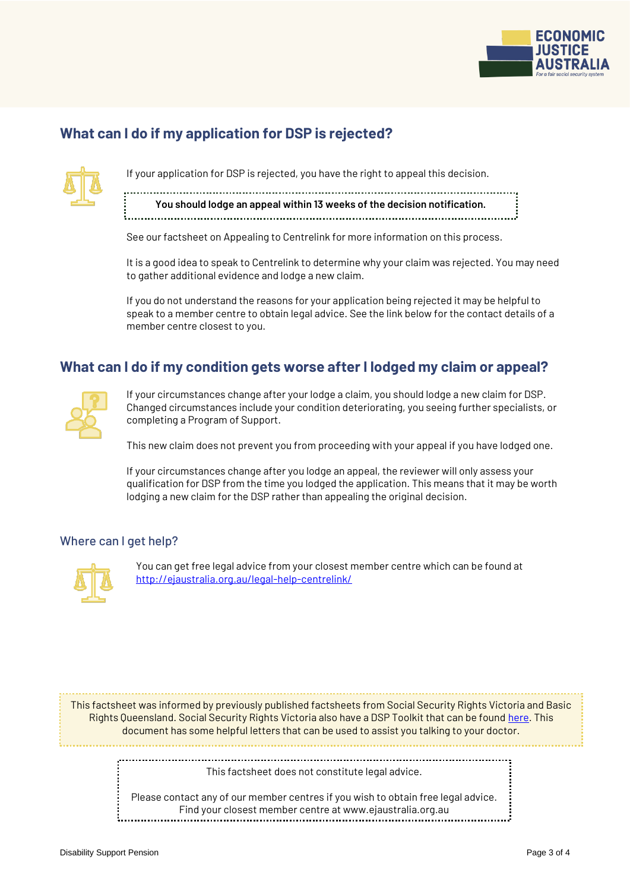

## **What can I do if my application for DSP is rejected?**



If your application for DSP is rejected, you have the right to appeal this decision.

**You should lodge an appeal within 13 weeks of the decision notification.**  

See our factsheet on Appealing to Centrelink for more information on this process.

It is a good idea to speak to Centrelink to determine why your claim was rejected. You may need to gather additional evidence and lodge a new claim.

If you do not understand the reasons for your application being rejected it may be helpful to speak to a member centre to obtain legal advice. See the link below for the contact details of a member centre closest to you.

## **What can I do if my condition gets worse after I lodged my claim or appeal?**



If your circumstances change after your lodge a claim, you should lodge a new claim for DSP. Changed circumstances include your condition deteriorating, you seeing further specialists, or completing a Program of Support.

This new claim does not prevent you from proceeding with your appeal if you have lodged one.

If your circumstances change after you lodge an appeal, the reviewer will only assess your qualification for DSP from the time you lodged the application. This means that it may be worth lodging a new claim for the DSP rather than appealing the original decision.

### Where can I get help?



You can get free legal advice from your closest member centre which can be found at <http://ejaustralia.org.au/legal-help-centrelink/>

This factsheet was informed by previously published factsheets from Social Security Rights Victoria and Basic Rights Queensland. Social Security Rights Victoria also have a DSP Toolkit that can be found [here.](https://www.ssrv.org.au/disability-support-pension-toolkit/) This document has some helpful letters that can be used to assist you talking to your doctor.

> This factsheet does not constitute legal advice.

Please contact any of our member centres if you wish to obtain free legal advice. Find your closest member centre at www.ejaustralia.org.au